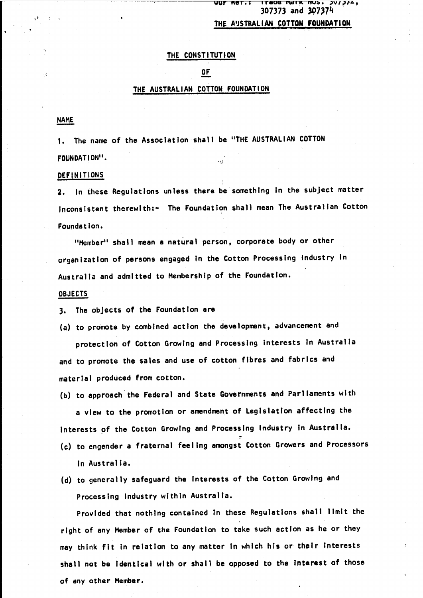#### **Trade Mark MOS. 397774,**<br>307373 and 307374 Ret . I

# THE AUSTRALIAN COTTON FOUNDATION

### THE CONSTITUTION

# OF

### THE AUSTRALIAN COTTON FOUNDATION

#### **NAME**

1. The name of the Association shall be "THE AUSTRALIAN COTTON FOUNDATION".

#### DEFINITIONS

2. In these Regulations unless there be something In the subject matter Inconsistent therewlth:- The Foundation shall mean The Australian Cotton Founda t Ion.

"Member" shall mean a natural person, corporate body or other organization of persons engaged In the Cotton Processing Industry In Australia and admitted to Membership of the Foundation.

#### OBJECTS

3. The objects of the Foundation are

- (a) to promote by combined action the development, advancement and protection of Cotton Growing and Processing Interests In Australia and to promote the sales and use of cotton fibres and fabrics and material produced from cotton.
- (b) to approach the Federal and State Governments and Parliaments with a view to the promotion or amendment of Legislation affecting the Interests of the Cotton Growing and Processing Industry in Australia.
- (c) to engender a fraternal feeling amongst Cotton Growers and Processors In Australia.
- (d) to generally safeguard the Interests of the Cotton Growing and Processing Industry within Australia.

Provided that nothing contained In these Regulations shall limit the right of any Member of the Foundation to take such action as he or they may think fit In relation to any matter In which his or their Interests shall not be Identical with or shall be opposed to the Interest of those of any other Member.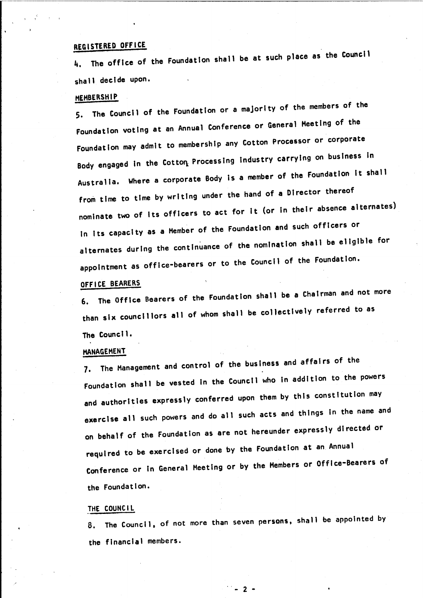# REGISTERED OFFICE

4. The offIce of the FoundatIon shall be at such place as the Council shall decide upon.

## MEMBERSHIP

5. The CouncIl of the Foundation or a majority of the members of the FoundatIon voting at an Annual Conference or General Meeting of the Foundation may admit to membershIp any Cotton Processor or corporate Body engaged in the Cotton Processing Industry carrying on business in AustralIa. Where a corporate Body Is a member of the Foundation It shall from time to tIme by writing under the hand of a Director thereof nominate two of its officers to act for it (or in their absence alternates) In Its capacIty as a Member of the FoundatIon and such officers or alternates during the continuance of the nomination shall be eligible for appoIntment as offIce-bearers or to the Council of the Foundation.

### OFFICE BEARERS

6. The OffIce Bearers of the foundation shall be a ChaIrman and not more than six councillors all of whom shall be collectively referred to as The CouncIl.

# MANAGEMENT

7. The Management and control of the business and affairs of the Foundation shall be vested in the Council who in addition to the powers and authorities expressly conferred upon them by this constitution may exercise all such powers and do all such acts and things in the name and on behalf of the Foundation as are not hereunder expressly directed or required to be exercised or done by the foundation at an Annual Conference or In General Meeting or by the Members or Office-Bearers of the Foundation.

#### THE COUNCIL

8. The Council, of not more than seven persons, shall be appointed by the financial members.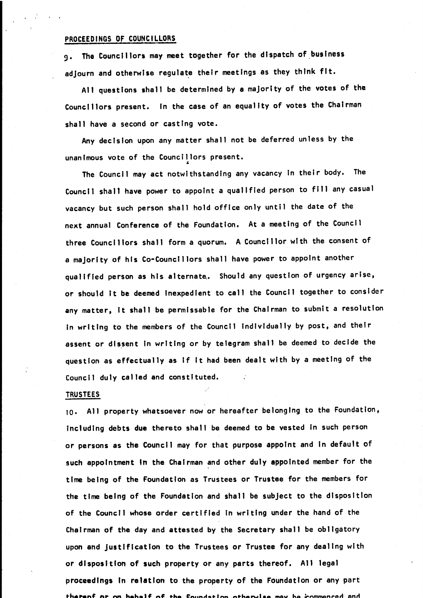### PROCEEDINGS OF COUNCILLORS

9. The Councillors may meet together for the dispatch of.buslness adjourn and otherwise regulate their meetings as they think fit.

All questions shall be determined by <sup>8</sup> majority of the votes of the Councillors present. In the case of an equality of votes the Chairman shall have a second or casting vote.

Any decision upon any matter shall not be deferred unless by the unanimous vote of the Councillors present.

The Council may act notwithstanding any vacancy In their body. The CouncIl shall have power to appoint a qualified person to fill any casual vacancy but such person shall hold office only until the date of the next annual Conference of the Foundation. At a meeting of the Council three Councillors shall form a quorum. A Councillor with the consent of a majority of his Co-Councillors shall have power to appoint another qualified person as his alternate. Should any question of urgency arise, or should It be deemed Inexpedient to call the Council together to consider any matter, It shall be permlssable for the Chairman to submit a resolution In writing to the members of the Council Individually by post, and theIr assent or dIssent In writing or by telegram shall be deemed to decide the question as effectually as If It had been dealt with by a meeting of the Council duly called and constituted.

#### TRUSTEES

10. All property whatsoever now or hereafter belonging to the Foundation, including debts due thereto shall be deemed to be vested In such person or persons as the Council may for that purpose appoint and In default of such appointment In the Chairman and other duly appointed member for the tIme being of the Foundation as Trustees or Trustee for the members for the time being of the Foundation and shall be subject to the disposition of the Council whose order certified in writing under the hand of the Chairman of the day and attested by the Secretary shall be obligatory upon and justification to the Trustees or Trustee for any dealing with or disposition of such property or any parts thereof. All legal proceedings In relation to the property of the Foundation or any parttherenf or on behalf of the foundation otherwise may be commenced and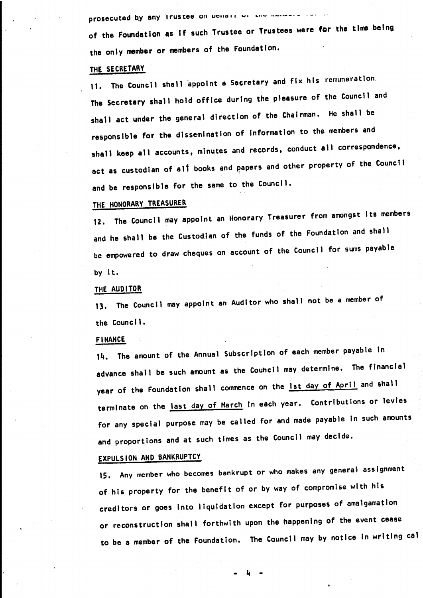prosecuted by any Irustee on Denair or the members is.

of the Foundation as If such Trustee or Trustees were for the time being the only member or members of the Foundation.

## THE SECRETARY

11. The Council shall appoint a Secretary and fix his remuneration. The Secretary shall hold office during the pleasure of the Council and shall act under the general direction of the Chairman. He shall be responsible for the dissemination of Information to the members and shall keep all accounts, minutes and records, conduct all correspondence, act as custodian of all books and papers and other property of the Council and be responsible for the same to the Council.

# THE HONORARY TREASURER

12. The Council may appoint an Honorary Treasurer from amongst its members and he shall be the Custodian of the funds of the Foundation and shall be empowered to draw cheques on account of the Council for sums payable by It.

### THE AUDITOR

13. The Council may appoint an Auditor who shall not be a member of the Council.

### FINANCE

14. The amount of the Annual Subscription of each member payable In advance shall be such amount as the Couhcll may determine. The financial year of the Foundation shall commence on the lst day of April and shall terminate on the last day of March In each year. Contributions or levies for any special purpose may be called for and made payable In such amounts and proportions and at such times as the Council may decide.

# EXPULSION AND BANKRUPTCY

15. Any member who becomes bankrupt or who makes any general assignment of his property for the benefit of or by way of compromise with his creditors or goes Into liquidation except for purposes of amalgamation or reconstruction shall forthwith upon the happening of the event cease to be a member of the Foundation. The Council may by notice In writing cal

 $\mathbf{h}$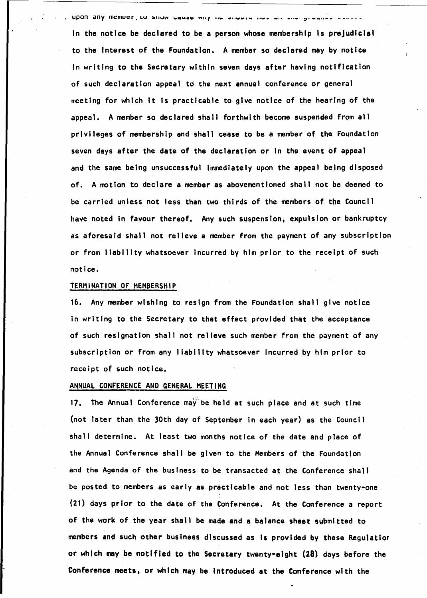. Upon any member, to show cause why he should not on the argument court.

in the notice be declared to be a person whose membership is prejudicial to the Interest of the Foundation. A member 50 declared may by notice In writing to the Secretary within seven days after having notification of such declaration appeal to the next annual conference or general meeting for which It 15 practicable to give notice of the hearing of the appeal. A member so declared shall forthwith become suspended from all priVileges of membership and shall cease to be a member of the Foundation seven days after the date of the declaration or In the event of appeal and the same being unsuccessful Immediately upon the appeal being disposed of. A motion to declare a member as abovementioned shall not be deemed to be carried unless not less than two thirds of the members of the Council have noted In favour thereof. Any such suspension, expulsion or bankruptcy as aforesaid shall not relieve a member from the payment of any subscription or from liability whatsoever Incurred by him prior to the receipt of such notice.

### TERMINATION OF MEMBERSHIP

16. Any member wishIng to resign from the Foundation shall give notice In writing to the Secretary to that effect provided that the acceptance of such resignation shall not relieve such member from the payment of any subscription or from any liability whatsoever Incurred by him prior to receipt of such notice.

#### ANNUAL CONFERENCE AND GENERAL MEETING

17. The Annual Conference may be held at such place and at such time (not later than the 30th day of September In each year) as the Council shall determine. At least two months notice of the date and place of the Annual Conference shall be given to the Members of the FoundatIon and the Agenda of the business to be transacted at the Conference shall be posted to members as early as practicable and not less than twenty-one (21) days prior to the date of the Conference. At the Conference a report of the work of the year shall be made and a balance sheet submitted to members and such other business discussed as Is provided by these Regulatlor or which may be notified to the Secretary twenty-eight (28) days before the Conference meets, or which may be Introduced at the Conference with the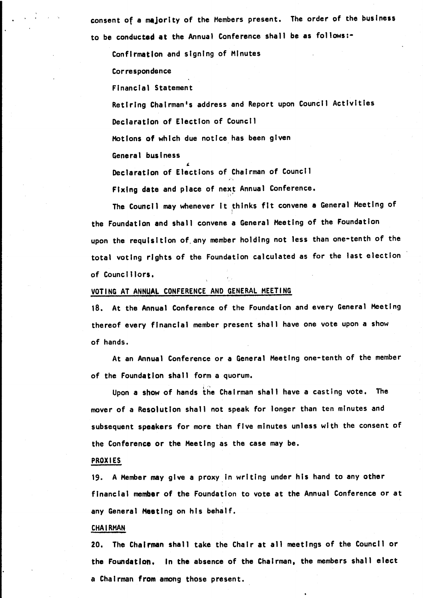consent of a majority of the Members present. The order of the business to be conducted at the Annual Conference shall be as follows:-

Confirmation and signing of Minutes

Correspondence

Financial Statement

Retiring Chairman's address and Report upon Council Activities

Declaration of Election of Council

Motions of which due notice has been given

General business

Declaration of Elections of Chairman of Council

Fixing date and place of next Annual Conference.

The Council may whenever it thinks fit convene a General Meeting of the Foundation and shall convene a General Meeting of the Foundation upon the requisition of. any member holding not less than one-tenth of the total voting rights of the Foundation calculated as for the last election of CouncIllors.

## VOTING AT ANNUAL CONFERENCE AND GENERAL MEETING

18. At the Annual Conference of the Foundation and every General Heetlng thereof every fInancIal member present shall have one vote upon a show of hands.

At an Annual Conference or a General Meeting one-tenth of the member of the Foundation shall form a quorum.

Upon a show of hands the Chairman shall have a casting vote. The mover of a Resolution shall not speak for longer than ten minutes and subsequent speakers for more than five minutes unless with the consent of the Conference or the Meeting as the case may be.

#### PROXIES

19. A Member may give a proxy in writing under his hand to any other financial member of the Foundation to vote at the Annual Conference or at any General Heetlng on his behalf.

#### CHAIRMAN

20. The Chairman shall take the ChaIr at all meetings of the Councilor the Foundation. In the absence of the ChaIrman, the members shall elect a Chairman from among those present.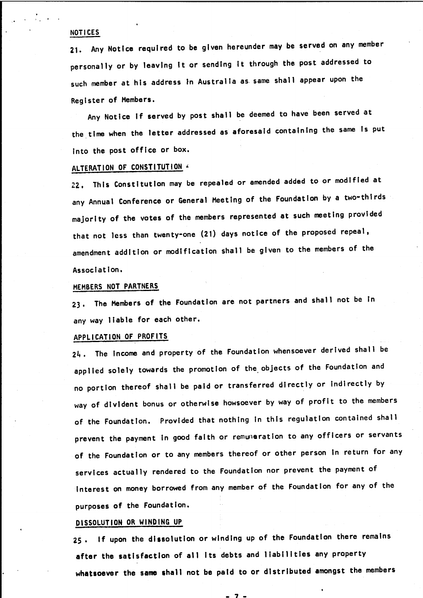#### NOTICES

21. Any Notice required to be given hereunder may be served on any member personally or by leaving It or sending It through the post addressed to such member at his address tn Australia as· same shall appear upon the Register of Members.

Any Notice If served by post shall be deemed to have been served at the time when the letter addressed as aforesaid containing the same Is put Into the post office or box.

# ALTERATION OF CONSTITUTION'

22. This ConstitutIon may be repealed or amended added to or modified at any Annual Conference or General Meeting of the Foundation by a two-thirds majority of the votes of the members represented at such meeting provided that not less than twenty-one (21) days notice of the proposed repeal, amendment addition or modification shall be given to the members of the Association.

#### MEMBERS NOT PARTNERS

23. The Members of the Foundation are not partners and shall not be In any way liable for each other.

# APPLICATION OF PROFITS

24. The Income and property of the Foundation whensoever derived shall be applied solely towards the promotion of the. objects of the Foundation and no portion thereof shall be paid or transferred directly or Indirectly by way of dlvtdent bonus or otherwise howsoever by way of profit to the members of the Foundation. Provided that nothing In this regulation contained shall prevent the payment in good faith or remuneration to any officers or servants of the Foundation or to any members thereof or other person In return for any services actually rendered to the Foundation nor prevent the payment of Interest on money borrowed from any member of the Foundation for any of the purposes of the Foundation.

### DISSOLUTION OR WINDING UP

*2S.* If upon the dissolution or winding up of the Foundation there remains after the satisfaction of all Its debts and liabilities any property whatsoever the same shall not be paid to or distributed amongst the members

 $-7 -$